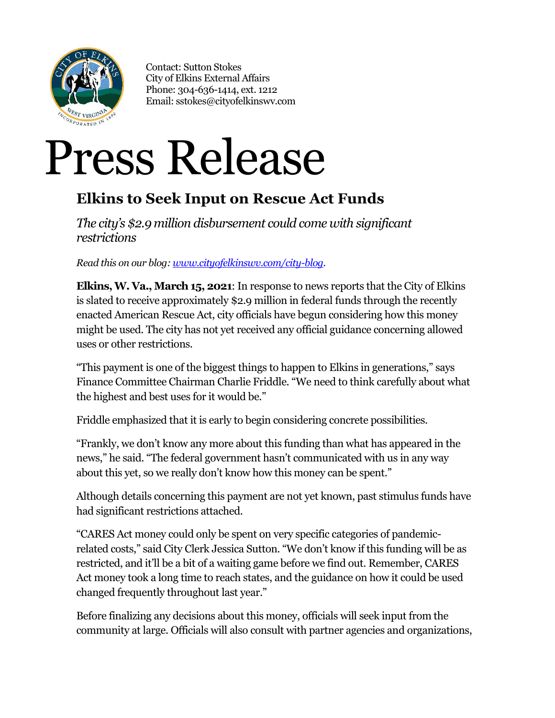

Contact: Sutton Stokes City of Elkins External Affairs Phone: 304-636-1414, ext. 1212 Email: sstokes@cityofelkinswv.com

## Press Release

## **Elkins to Seek Input on Rescue Act Funds**

*The city's \$2.9 million disbursement could come with significant restrictions*

*Read this on our blog[: www.cityofelkinswv.com/city-blog.](http://www.cityofelkinswv.com/city-blog)*

**Elkins,W. Va., March 15, 2021**: In response to news reports that the City of Elkins is slated to receive approximately \$2.9 million in federal funds through the recently enacted American Rescue Act, city officials have begun considering how this money might be used. The city has not yet received any official guidance concerning allowed uses or other restrictions.

"This payment is one of the biggest things to happen to Elkins in generations," says Finance Committee Chairman Charlie Friddle. "We need to think carefully about what the highest and best uses for it would be."

Friddle emphasized that it is early to begin considering concrete possibilities.

"Frankly, we don't know any more about this funding than what has appeared in the news," he said. "The federal government hasn't communicated with us in any way about this yet, so we really don't know how this money can be spent."

Although details concerning this payment are not yet known, past stimulus funds have had significant restrictions attached.

"CARES Act money could only be spent on very specific categories of pandemicrelated costs," said City Clerk Jessica Sutton. "We don't know if this funding will be as restricted, and it'll be a bit of a waiting game before we find out. Remember, CARES Act money took a long time to reach states, and the guidance on how it could be used changed frequently throughout last year."

Before finalizing any decisions about this money, officials will seek input from the community at large. Officials will also consult with partner agencies and organizations,